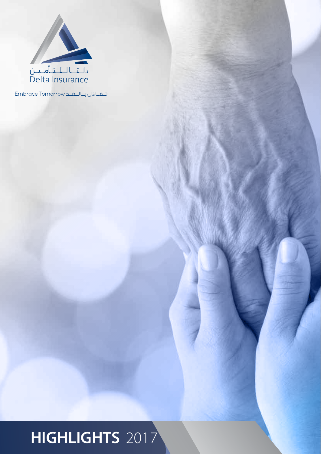

تَشَاءَل بالـغَـد Embrace Tomorrow

# 2017 **HIGHLIGHTS**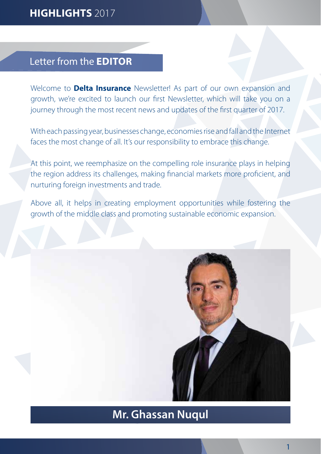### 2017 **HIGHLIGHTS**

#### Letter from the **EDITOR**

Welcome to **Delta Insurance** Newsletter! As part of our own expansion and growth, we're excited to launch our first Newsletter, which will take you on a journey through the most recent news and updates of the first quarter of 2017.

With each passing year, businesses change, economies rise and fall and the Internet faces the most change of all. It's our responsibility to embrace this change.

At this point, we reemphasize on the compelling role insurance plays in helping the region address its challenges, making financial markets more proficient, and nurturing foreign investments and trade.

Above all, it helps in creating employment opportunities while fostering the growth of the middle class and promoting sustainable economic expansion.



### **Mr. Ghassan Nuqul**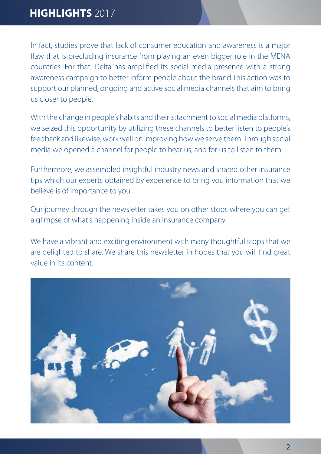#### 2017 **HIGHLIGHTS**

In fact, studies prove that lack of consumer education and awareness is a major flaw that is precluding insurance from playing an even bigger role in the MENA countries. For that, Delta has amplified its social media presence with a strong awareness campaign to better inform people about the brand. This action was to support our planned, ongoing and active social media channels that aim to bring us closer to people.

With the change in people's habits and their attachment to social media platforms, we seized this opportunity by utilizing these channels to better listen to people's feedback and likewise, work well on improving how we serve them. Through social .the media we opened a channel for people to hear us, and for us to listen to them.

Furthermore, we assembled insightful industry news and shared other insurance tips which our experts obtained by experience to bring you information that we believe is of importance to you.

Our journey through the newsletter takes you on other stops where you can get a glimpse of what's happening inside an insurance company.

We have a vibrant and exciting environment with many thoughtful stops that we are delighted to share. We share this newsletter in hopes that you will find great value in its content.

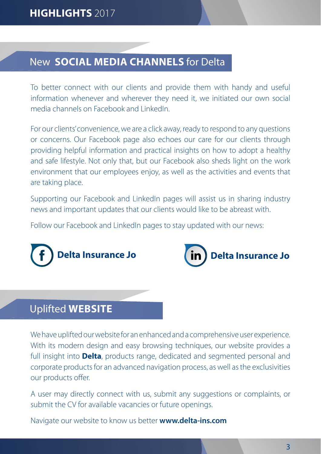### **New SOCIAL MEDIA CHANNELS** for Delta

To better connect with our clients and provide them with handy and useful information whenever and wherever they need it, we initiated our own social media channels on Facebook and LinkedIn

For our clients' convenience, we are a click away, ready to respond to any questions or concerns. Our Facebook page also echoes our care for our clients through providing helpful information and practical insights on how to adopt a healthy and safe lifestyle. Not only that, but our Facebook also sheds light on the work environment that our employees enjoy, as well as the activities and events that are taking place.

Supporting our Facebook and LinkedIn pages will assist us in sharing industry news and important updates that our clients would like to be abreast with.

Follow our Facebook and LinkedIn pages to stay updated with our news:





### **Uplifted WEBSITE**

. We have uplifted our website for an enhanced and a comprehensive user experience. With its modern design and easy browsing techniques, our website provides a full insight into **Delta**, products range, dedicated and segmented personal and corporate products for an advanced navigation process, as well as the exclusivities our products offer.

A user may directly connect with us, submit any suggestions or complaints, or submit the CV for available vacancies or future openings.

Navigate our website to know us better **www.delta-ins.com**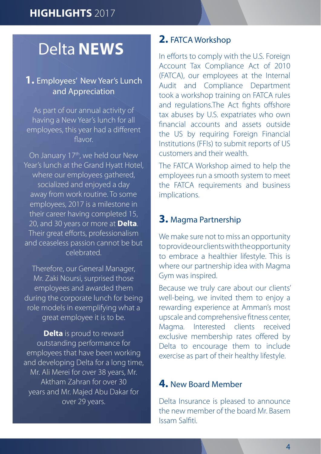## **Delta NEWS**

#### **1.** Employees' New Year's Lunch and Appreciation

As part of our annual activity of having a New Year's lunch for all employees, this year had a different flavor

On January 17<sup>th</sup>, we held our New Year's lunch at the Grand Hyatt Hotel, where our employees gathered, socialized and enjoyed a day away from work routine. To some employees, 2017 is a milestone in their career having completed 15, 20, and 30 years or more at **Delta**. Their great efforts, professionalism and ceaseless passion cannot be but .celebrated

Therefore, our General Manager, Mr. Zaki Noursi, surprised those employees and awarded them during the corporate lunch for being role models in exemplifying what a great employee it is to be.

**Delta** is proud to reward outstanding performance for employees that have been working and developing Delta for a long time, Mr. Ali Merei for over 38 years, Mr. Aktham Zahran for over 30 years and Mr. Majed Abu Dakar for over 29 years.

#### **2. FATCA Workshop**

In efforts to comply with the U.S. Foreign Account Tax Compliance Act of 2010 (FATCA), our employees at the Internal Audit and Compliance Department took a workshop training on FATCA rules and regulations. The Act fights offshore tax abuses by U.S. expatriates who own financial accounts and assets outside the US by requiring Foreign Financial Institutions (FFIs) to submit reports of US customers and their wealth.

The FATCA Workshop aimed to help the employees run a smooth system to meet the FATCA requirements and business implications.

#### **3.** Magma Partnership

We make sure not to miss an opportunity to provide our clients with the opportunity to embrace a healthier lifestyle. This is where our partnership idea with Magma Gym was inspired.

Because we truly care about our clients' well-being, we invited them to enjoy a rewarding experience at Amman's most upscale and comprehensive fitness center, Magma, Interested clients received exclusive membership rates offered by Delta to encourage them to include exercise as part of their healthy lifestyle.

#### **4. New Board Member**

Delta Insurance is pleased to announce the new member of the board Mr. Basem Issam Salfiti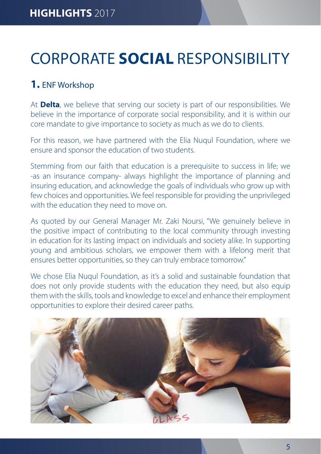# **CORPORATE SOCIAL RESPONSIBILITY**

#### **1.** ENF Workshop

At **Delta**, we believe that serving our society is part of our responsibilities. We believe in the importance of corporate social responsibility, and it is within our core mandate to give importance to society as much as we do to clients.

For this reason, we have partnered with the Elia Nuqul Foundation, where we ensure and sponsor the education of two students.

Stemming from our faith that education is a prerequisite to success in life; we -as an insurance company- always highlight the importance of planning and insuring education, and acknowledge the goals of individuals who grow up with few choices and opportunities. We feel responsible for providing the unprivileged with the education they need to move on.

As quoted by our General Manager Mr. Zaki Noursi, "We genuinely believe in the positive impact of contributing to the local community through investing in education for its lasting impact on individuals and society alike. In supporting young and ambitious scholars, we empower them with a lifelong merit that ensures better opportunities, so they can truly embrace tomorrow."

We chose Elia Nugul Foundation, as it's a solid and sustainable foundation that does not only provide students with the education they need, but also equip them with the skills, tools and knowledge to excel and enhance their employment opportunities to explore their desired career paths.

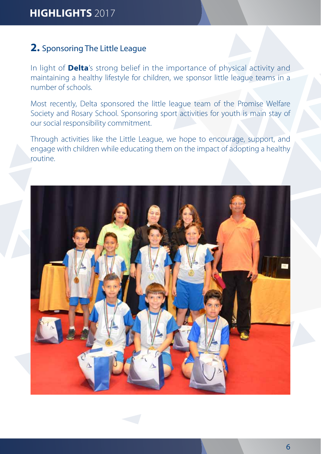#### **2.** Sponsoring The Little League

In light of **Delta**'s strong belief in the importance of physical activity and maintaining a healthy lifestyle for children, we sponsor little league teams in a number of schools.

Most recently, Delta sponsored the little league team of the Promise Welfare Society and Rosary School. Sponsoring sport activities for youth is main stay of our social responsibility commitment.

Through activities like the Little League, we hope to encourage, support, and engage with children while educating them on the impact of adopting a healthy .routine

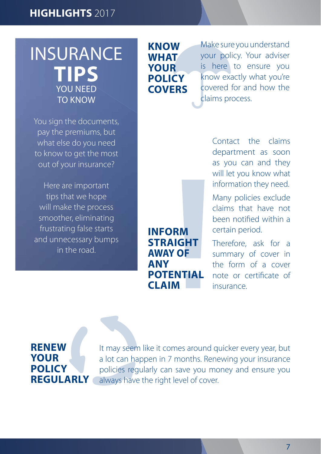## **INSURANCE TIPS** YOU NEED **TO KNOW**

You sign the documents, pay the premiums, but what else do you need to know to get the most out of your insurance?

Here are important tips that we hope will make the process smoother, eliminating frustrating false starts and unnecessary bumps in the road.

**Know what your policy covers**

Make sure you understand your policy. Your adviser is here to ensure you know exactly what you're covered for and how the claims process.

**Inform straight AWAY OF any potential claim**

Contact the claims department as soon as you can and they will let you know what information they need.

Many policies exclude claims that have not been notified within a certain period.

Therefore, ask for a summary of cover in the form of a cover note or certificate of .insurance

### **Renew your policy regularly**

It may seem like it comes around quicker every year, but a lot can happen in 7 months. Renewing your insurance policies regularly can save you money and ensure you always have the right level of cover.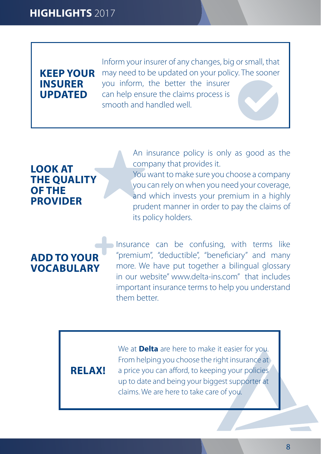#### **KEEP YOUR insurer updated**

Inform your insurer of any changes, big or small, that may need to be updated on your policy. The sooner you inform, the better the insurer can help ensure the claims process is smooth and handled well

#### **LOOK** AT **THE QUALITY OF THE provider**

An insurance policy is only as good as the company that provides it.

You want to make sure you choose a company you can rely on when you need your coverage, and which invests your premium in a highly prudent manner in order to pay the claims of its policy holders.

#### **ADD TO YOUR vocabulary**

Insurance can be confusing, with terms like "premium", "deductible", "beneficiary" and many more. We have put together a bilingual glossary in our website" www.delta-ins.com" that includes important insurance terms to help you understand them better.

#### **!RELAX**

We at **Delta** are here to make it easier for you. From helping you choose the right insurance at a price you can afford, to keeping your policies up to date and being your biggest supporter at claims. We are here to take care of you.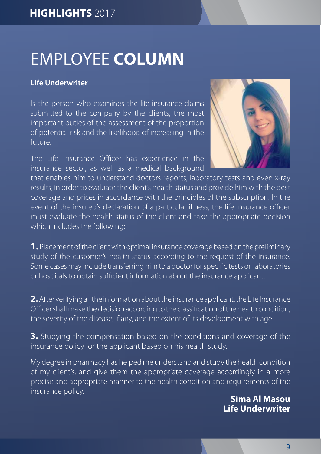# **EMPLOYEE COLUMN**

#### **Underwriter Life**

Is the person who examines the life insurance claims submitted to the company by the clients, the most important duties of the assessment of the proportion of potential risk and the likelihood of increasing in the .future

The Life Insurance Officer has experience in the insurance sector, as well as a medical background



that enables him to understand doctors reports, laboratory tests and even x-ray results, in order to evaluate the client's health status and provide him with the best coverage and prices in accordance with the principles of the subscription. In the event of the insured's declaration of a particular illness, the life insurance officer must evaluate the health status of the client and take the appropriate decision which includes the following:

**1.** Placement of the client with optimal insurance coverage based on the preliminary study of the customer's health status according to the request of the insurance. Some cases may include transferring him to a doctor for specific tests or, laboratories or hospitals to obtain sufficient information about the insurance applicant.

**2.** After verifying all the information about the insurance applicant, the Life Insurance Officer shall make the decision according to the classification of the health condition, the severity of the disease, if any, and the extent of its development with age.

**3.** Studying the compensation based on the conditions and coverage of the insurance policy for the applicant based on his health study.

My degree in pharmacy has helped me understand and study the health condition of my client's, and give them the appropriate coverage accordingly in a more precise and appropriate manner to the health condition and requirements of the **Masou Al Sima Al Masou Al Sima Al Masou Al Sima Al Masou Al Sima Al Masou Al Sima Al Masou Al Sima Al Masou Al** 

**Underwriter Life**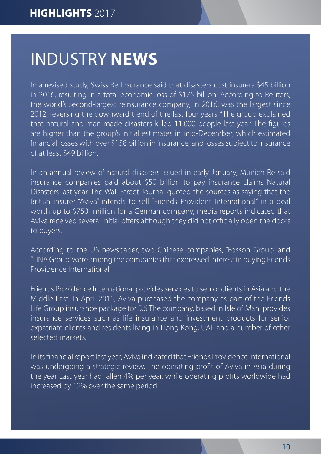## **INDUSTRY NEWS**

In a revised study, Swiss Re Insurance said that disasters cost insurers \$45 billion in 2016, resulting in a total economic loss of \$175 billion. According to Reuters, the world's second-largest reinsurance company, In 2016, was the largest since 2012, reversing the downward trend of the last four years. "The group explained that natural and man-made disasters killed 11,000 people last year. The figures are higher than the group's initial estimates in mid-December, which estimated financial losses with over \$158 billion in insurance, and losses subject to insurance of at least \$49 billion

In an annual review of natural disasters issued in early January, Munich Re said insurance companies paid about \$50 billion to pay insurance claims Natural Disasters last year. The Wall Street Journal guoted the sources as saying that the British insurer "Aviva" intends to sell "Friends Provident International" in a deal worth up to \$750 million for a German company, media reports indicated that Aviva received several initial offers although they did not officially open the doors to buyers.

According to the US newspaper, two Chinese companies, "Fosson Group" and "HNA Group" were among the companies that expressed interest in buying Friends Providence International.

Friends Providence International provides services to senior clients in Asia and the Middle East. In April 2015, Aviva purchased the company as part of the Friends Life Group insurance package for 5.6 The company, based in Isle of Man, provides insurance services such as life insurance and investment products for senior expatriate clients and residents living in Hong Kong, UAE and a number of other selected markets

In its financial report last year, Aviva indicated that Friends Providence International was undergoing a strategic review. The operating profit of Aviva in Asia during the year Last year had fallen 4% per year, while operating profits worldwide had increased by 12% over the same period.